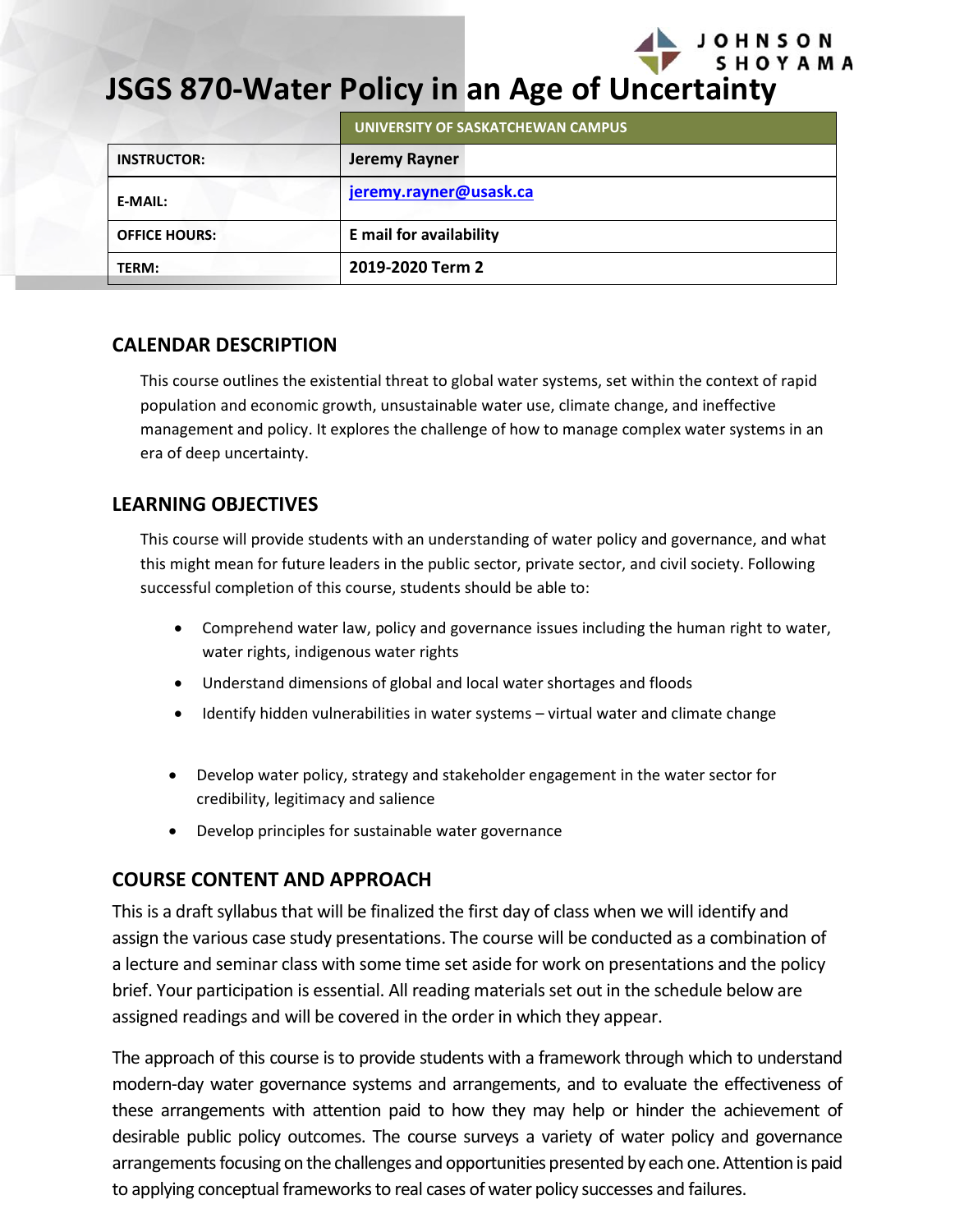

# **JSGS 870-Water Policy in an Age of Uncertainty**

|                      | UNIVERSITY OF SASKATCHEWAN CAMPUS |
|----------------------|-----------------------------------|
| <b>INSTRUCTOR:</b>   | <b>Jeremy Rayner</b>              |
| <b>E-MAIL:</b>       | jeremy.rayner@usask.ca            |
| <b>OFFICE HOURS:</b> | E mail for availability           |
| TERM:                | 2019-2020 Term 2                  |

# **CALENDAR DESCRIPTION**

This course outlines the existential threat to global water systems, set within the context of rapid population and economic growth, unsustainable water use, climate change, and ineffective management and policy. It explores the challenge of how to manage complex water systems in an era of deep uncertainty.

# **LEARNING OBJECTIVES**

This course will provide students with an understanding of water policy and governance, and what this might mean for future leaders in the public sector, private sector, and civil society. Following successful completion of this course, students should be able to:

- Comprehend water law, policy and governance issues including the human right to water, water rights, indigenous water rights
- Understand dimensions of global and local water shortages and floods
- Identify hidden vulnerabilities in water systems virtual water and climate change
- Develop water policy, strategy and stakeholder engagement in the water sector for credibility, legitimacy and salience
- Develop principles for sustainable water governance

# **COURSE CONTENT AND APPROACH**

This is a draft syllabus that will be finalized the first day of class when we will identify and assign the various case study presentations. The course will be conducted as a combination of a lecture and seminar class with some time set aside for work on presentations and the policy brief. Your participation is essential. All reading materials set out in the schedule below are assigned readings and will be covered in the order in which they appear.

The approach of this course is to provide students with a framework through which to understand modern-day water governance systems and arrangements, and to evaluate the effectiveness of these arrangements with attention paid to how they may help or hinder the achievement of desirable public policy outcomes. The course surveys a variety of water policy and governance arrangements focusing on the challenges and opportunities presented by each one. Attention is paid to applying conceptual frameworks to real cases of water policy successes and failures.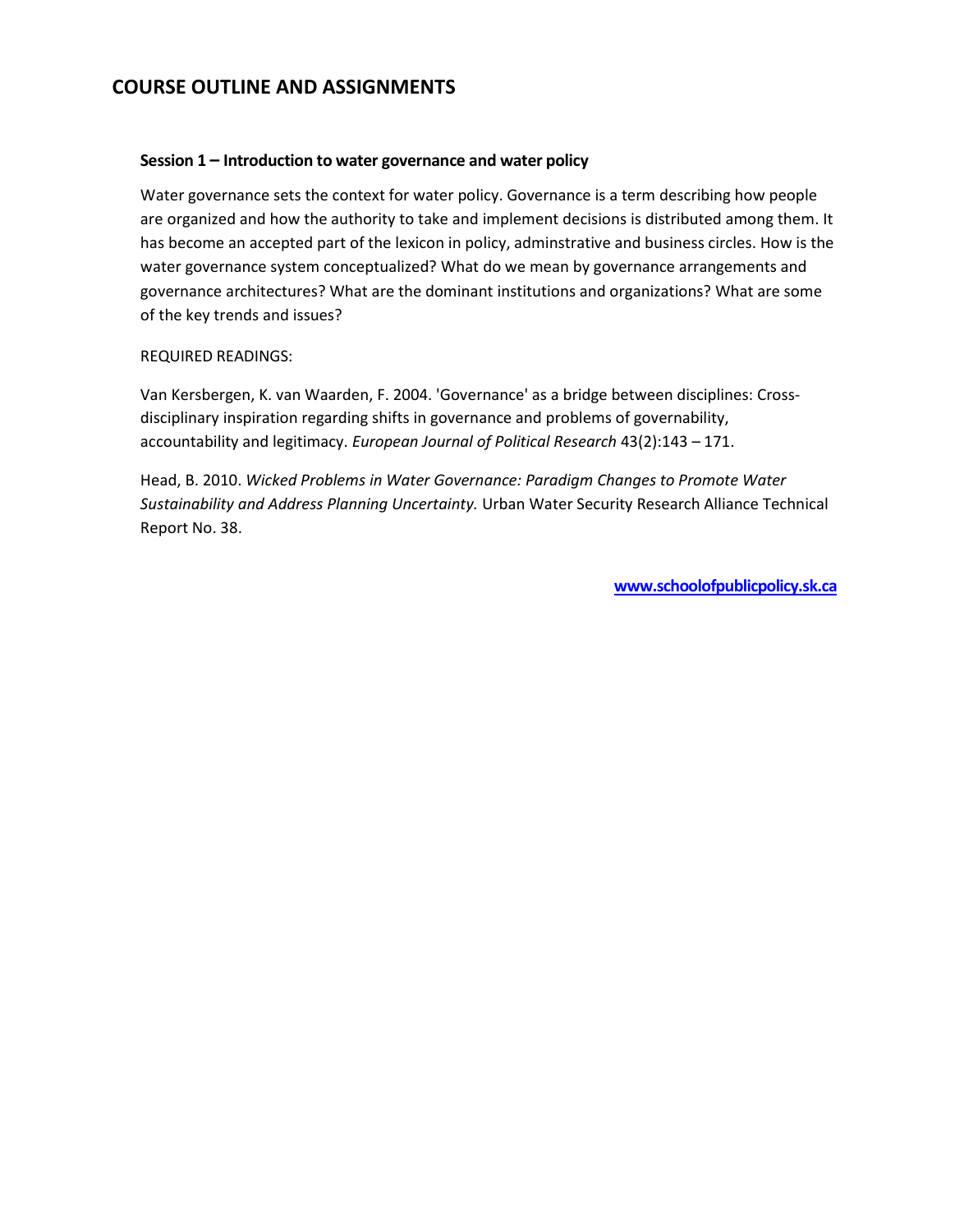# **COURSE OUTLINE AND ASSIGNMENTS**

#### **Session 1 – Introduction to water governance and water policy**

Water governance sets the context for water policy. Governance is a term describing how people are organized and how the authority to take and implement decisions is distributed among them. It has become an accepted part of the lexicon in policy, adminstrative and business circles. How is the water governance system conceptualized? What do we mean by governance arrangements and governance architectures? What are the dominant institutions and organizations? What are some of the key trends and issues?

#### REQUIRED READINGS:

Van Kersbergen, K. van Waarden, F. 2004. 'Governance' as a bridge between disciplines: Crossdisciplinary inspiration regarding shifts in governance and problems of governability, accountability and legitimacy. *European Journal of Political Research* 43(2):143 – 171.

Head, B. 2010. *Wicked Problems in Water Governance: Paradigm Changes to Promote Water Sustainability and Address Planning Uncertainty.* Urban Water Security Research Alliance Technical Report No. 38.

**[www.schoolofpublicpolicy.sk.ca](http://www.schoolofpublicpolicy.sk.ca/)**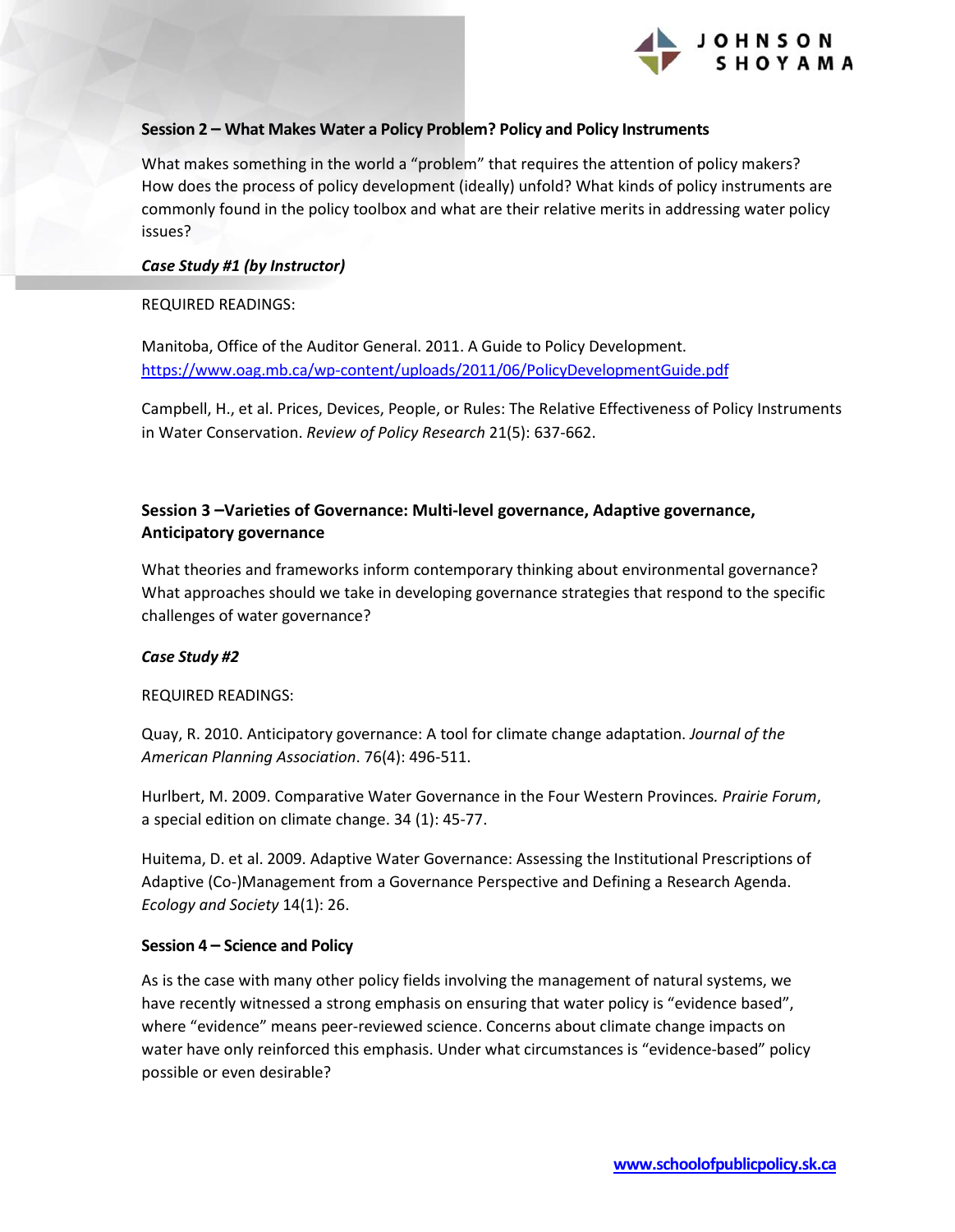

#### **Session 2 – What Makes Water a Policy Problem? Policy and Policy Instruments**

What makes something in the world a "problem" that requires the attention of policy makers? How does the process of policy development (ideally) unfold? What kinds of policy instruments are commonly found in the policy toolbox and what are their relative merits in addressing water policy issues?

#### *Case Study #1 (by Instructor)*

REQUIRED READINGS:

Manitoba, Office of the Auditor General. 2011. A Guide to Policy Development. <https://www.oag.mb.ca/wp-content/uploads/2011/06/PolicyDevelopmentGuide.pdf>

Campbell, H., et al. Prices, Devices, People, or Rules: The Relative Effectiveness of Policy Instruments in Water Conservation. *Review of Policy Research* 21(5): 637-662.

### **Session 3 –Varieties of Governance: Multi-level governance, Adaptive governance, Anticipatory governance**

What theories and frameworks inform contemporary thinking about environmental governance? What approaches should we take in developing governance strategies that respond to the specific challenges of water governance?

#### *Case Study #2*

REQUIRED READINGS:

Quay, R. 2010. Anticipatory governance: A tool for climate change adaptation. *Journal of the American Planning Association*. 76(4): 496-511.

Hurlbert, M. 2009. Comparative Water Governance in the Four Western Provinces*. Prairie Forum*, a special edition on climate change. 34 (1): 45-77.

Huitema, D. et al. 2009. Adaptive Water Governance: Assessing the Institutional Prescriptions of Adaptive (Co-)Management from a Governance Perspective and Defining a Research Agenda. *Ecology and Society* 14(1): 26.

#### **Session 4 – Science and Policy**

As is the case with many other policy fields involving the management of natural systems, we have recently witnessed a strong emphasis on ensuring that water policy is "evidence based", where "evidence" means peer-reviewed science. Concerns about climate change impacts on water have only reinforced this emphasis. Under what circumstances is "evidence-based" policy possible or even desirable?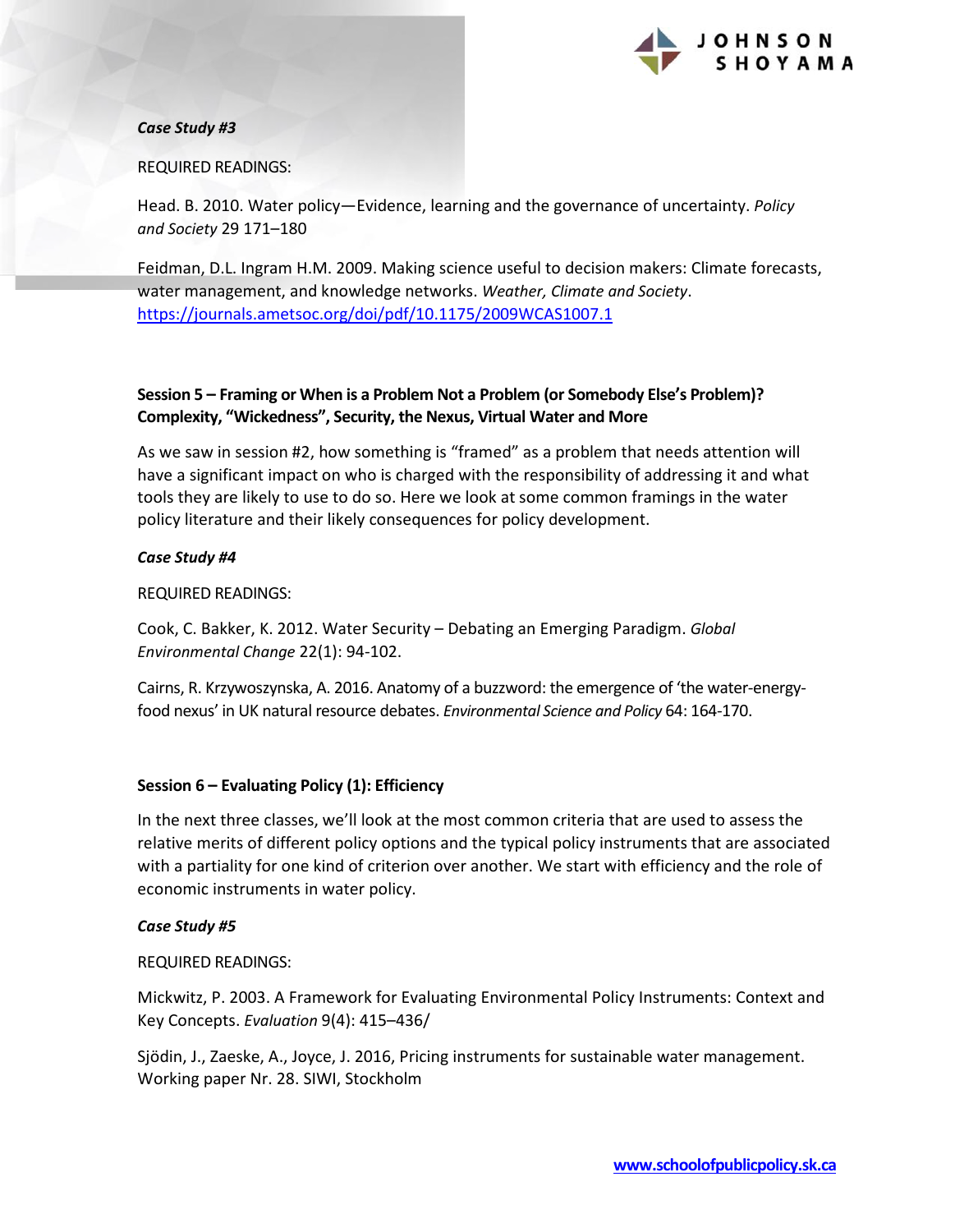

#### *Case Study #3*

#### REQUIRED READINGS:

Head. B. 2010. Water policy—Evidence, learning and the governance of uncertainty. *Policy and Society* 29 171–180

Feidman, D.L. Ingram H.M. 2009. Making science useful to decision makers: Climate forecasts, water management, and knowledge networks. *Weather, Climate and Society*. <https://journals.ametsoc.org/doi/pdf/10.1175/2009WCAS1007.1>

## **Session 5 – Framing or When is a Problem Not a Problem (or Somebody Else's Problem)? Complexity, "Wickedness", Security, the Nexus, Virtual Water and More**

As we saw in session #2, how something is "framed" as a problem that needs attention will have a significant impact on who is charged with the responsibility of addressing it and what tools they are likely to use to do so. Here we look at some common framings in the water policy literature and their likely consequences for policy development.

#### *Case Study #4*

REQUIRED READINGS:

Cook, C. Bakker, K. 2012. Water Security – Debating an Emerging Paradigm. *Global Environmental Change* 22(1): 94-102.

Cairns, R. Krzywoszynska, A. 2016. Anatomy of a buzzword: the emergence of 'the water-energyfood nexus' in UK natural resource debates. *Environmental Science and Policy* 64: 164-170.

#### **Session 6 – Evaluating Policy (1): Efficiency**

In the next three classes, we'll look at the most common criteria that are used to assess the relative merits of different policy options and the typical policy instruments that are associated with a partiality for one kind of criterion over another. We start with efficiency and the role of economic instruments in water policy.

#### *Case Study #5*

REQUIRED READINGS:

Mickwitz, P. 2003. A Framework for Evaluating Environmental Policy Instruments: Context and Key Concepts. *Evaluation* 9(4): 415–436/

Sjödin, J., Zaeske, A., Joyce, J. 2016, Pricing instruments for sustainable water management. Working paper Nr. 28. SIWI, Stockholm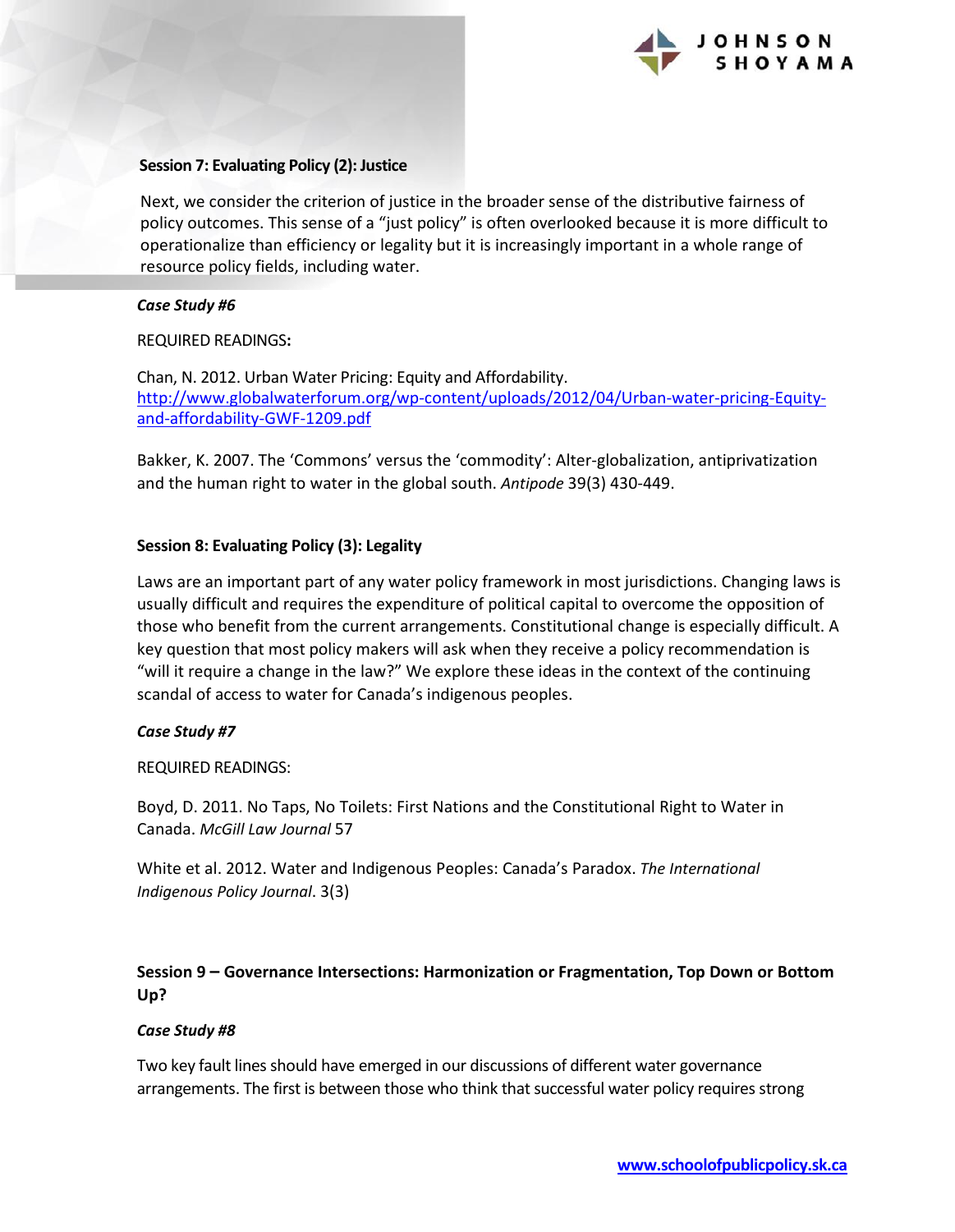

#### **Session 7: Evaluating Policy (2): Justice**

Next, we consider the criterion of justice in the broader sense of the distributive fairness of policy outcomes. This sense of a "just policy" is often overlooked because it is more difficult to operationalize than efficiency or legality but it is increasingly important in a whole range of resource policy fields, including water.

#### *Case Study #6*

REQUIRED READINGS**:**

Chan, N. 2012. Urban Water Pricing: Equity and Affordability. [http://www.globalwaterforum.org/wp-content/uploads/2012/04/Urban-water-pricing-Equity](http://www.globalwaterforum.org/wp-content/uploads/2012/04/Urban-water-pricing-Equity-and-affordability-GWF-1209.pdf)[and-affordability-GWF-1209.pdf](http://www.globalwaterforum.org/wp-content/uploads/2012/04/Urban-water-pricing-Equity-and-affordability-GWF-1209.pdf) 

Bakker, K. 2007. The 'Commons' versus the 'commodity': Alter-globalization, antiprivatization and the human right to water in the global south. *Antipode* 39(3) 430-449.

#### **Session 8: Evaluating Policy (3): Legality**

Laws are an important part of any water policy framework in most jurisdictions. Changing laws is usually difficult and requires the expenditure of political capital to overcome the opposition of those who benefit from the current arrangements. Constitutional change is especially difficult. A key question that most policy makers will ask when they receive a policy recommendation is "will it require a change in the law?" We explore these ideas in the context of the continuing scandal of access to water for Canada's indigenous peoples.

#### *Case Study #7*

REQUIRED READINGS:

Boyd, D. 2011. No Taps, No Toilets: First Nations and the Constitutional Right to Water in Canada. *McGill Law Journal* 57

White et al. 2012. Water and Indigenous Peoples: Canada's Paradox. *The International Indigenous Policy Journal*. 3(3)

## **Session 9 – Governance Intersections: Harmonization or Fragmentation, Top Down or Bottom Up?**

#### *Case Study #8*

Two key fault lines should have emerged in our discussions of different water governance arrangements. The first is between those who think that successful water policy requires strong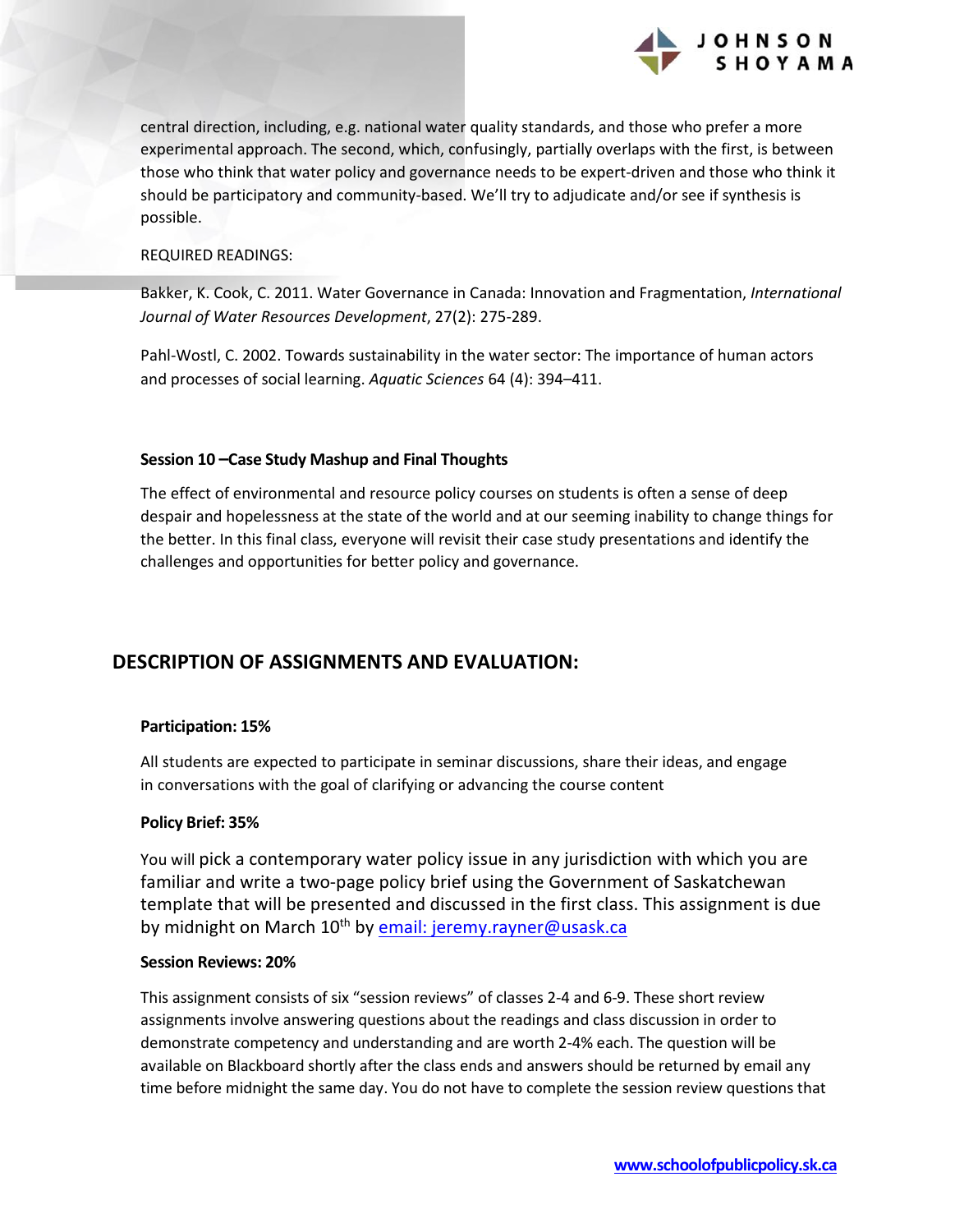

central direction, including, e.g. national water quality standards, and those who prefer a more experimental approach. The second, which, confusingly, partially overlaps with the first, is between those who think that water policy and governance needs to be expert-driven and those who think it should be participatory and community-based. We'll try to adjudicate and/or see if synthesis is possible.

#### REQUIRED READINGS:

Bakker, K. Cook, C. 2011. Water Governance in Canada: Innovation and Fragmentation, *International Journal of Water Resources Development*, 27(2): 275-289.

Pahl-Wostl, C. 2002. Towards sustainability in the water sector: The importance of human actors and processes of social learning. *Aquatic Sciences* 64 (4): 394–411.

#### **Session 10 –Case Study Mashup and Final Thoughts**

The effect of environmental and resource policy courses on students is often a sense of deep despair and hopelessness at the state of the world and at our seeming inability to change things for the better. In this final class, everyone will revisit their case study presentations and identify the challenges and opportunities for better policy and governance.

# **DESCRIPTION OF ASSIGNMENTS AND EVALUATION:**

#### **Participation: 15%**

All students are expected to participate in seminar discussions, share their ideas, and engage in conversations with the goal of clarifying or advancing the course content

#### **Policy Brief: 35%**

You will pick a contemporary water policy issue in any jurisdiction with which you are familiar and write a two-page policy brief using the Government of Saskatchewan template that will be presented and discussed in the first class. This assignment is due by midnight on March 10<sup>th</sup> by [email: jeremy.rayner@usask.ca](mailto:jeremy.rayner@usask.ca)

#### **Session Reviews: 20%**

This assignment consists of six "session reviews" of classes 2-4 and 6-9. These short review assignments involve answering questions about the readings and class discussion in order to demonstrate competency and understanding and are worth 2-4% each. The question will be available on Blackboard shortly after the class ends and answers should be returned by email any time before midnight the same day. You do not have to complete the session review questions that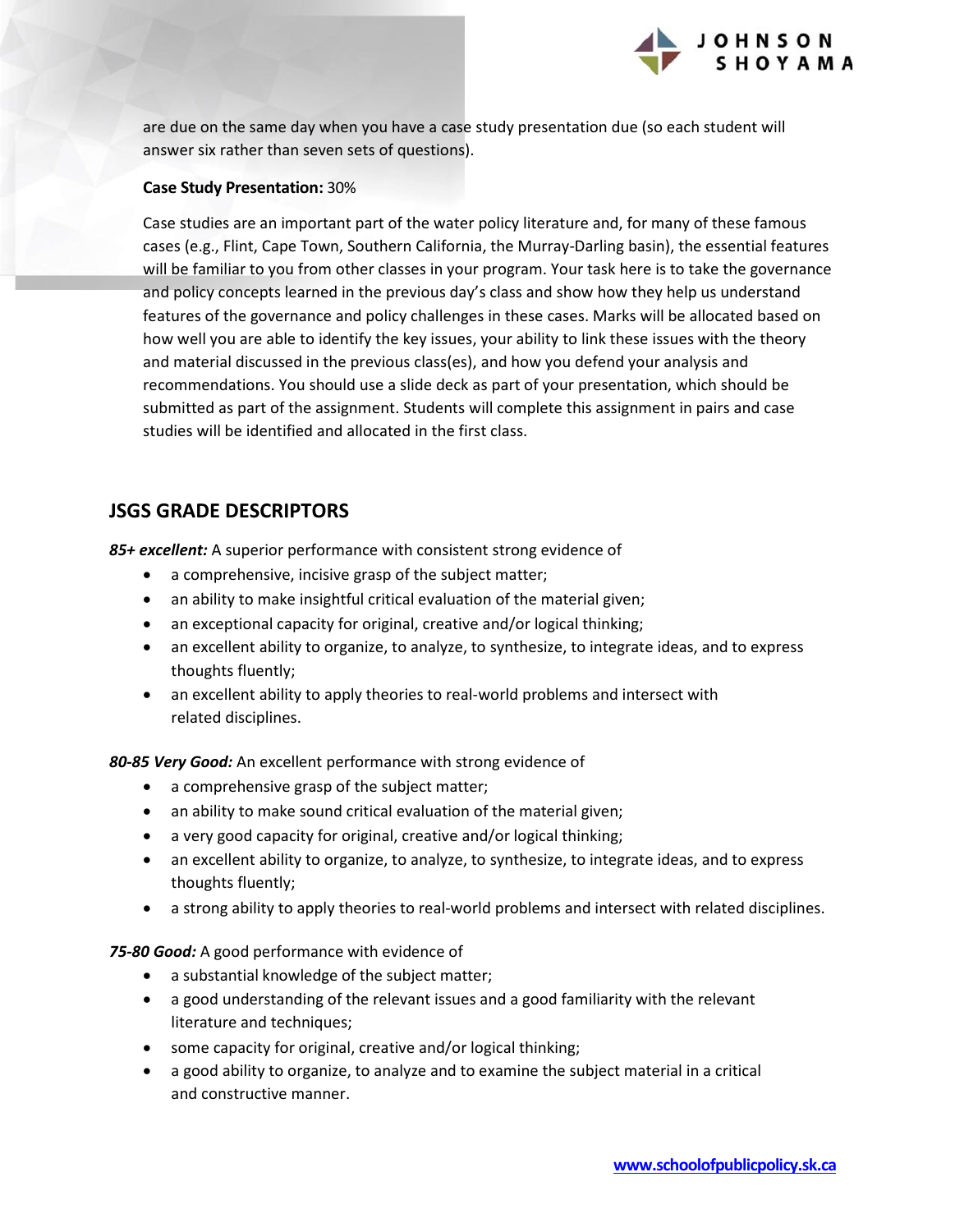

are due on the same day when you have a case study presentation due (so each student will answer six rather than seven sets of questions).

#### **Case Study Presentation:** 30%

Case studies are an important part of the water policy literature and, for many of these famous cases (e.g., Flint, Cape Town, Southern California, the Murray-Darling basin), the essential features will be familiar to you from other classes in your program. Your task here is to take the governance and policy concepts learned in the previous day's class and show how they help us understand features of the governance and policy challenges in these cases. Marks will be allocated based on how well you are able to identify the key issues, your ability to link these issues with the theory and material discussed in the previous class(es), and how you defend your analysis and recommendations. You should use a slide deck as part of your presentation, which should be submitted as part of the assignment. Students will complete this assignment in pairs and case studies will be identified and allocated in the first class.

# **JSGS GRADE DESCRIPTORS**

*85+ excellent:* A superior performance with consistent strong evidence of

- a comprehensive, incisive grasp of the subject matter;
- an ability to make insightful critical evaluation of the material given;
- an exceptional capacity for original, creative and/or logical thinking;
- an excellent ability to organize, to analyze, to synthesize, to integrate ideas, and to express thoughts fluently;
- an excellent ability to apply theories to real-world problems and intersect with related disciplines.

*80-85 Very Good:* An excellent performance with strong evidence of

- a comprehensive grasp of the subject matter;
- an ability to make sound critical evaluation of the material given;
- a very good capacity for original, creative and/or logical thinking;
- an excellent ability to organize, to analyze, to synthesize, to integrate ideas, and to express thoughts fluently;
- a strong ability to apply theories to real-world problems and intersect with related disciplines.

*75-80 Good:* A good performance with evidence of

- a substantial knowledge of the subject matter;
- a good understanding of the relevant issues and a good familiarity with the relevant literature and techniques;
- some capacity for original, creative and/or logical thinking;
- a good ability to organize, to analyze and to examine the subject material in a critical and constructive manner.